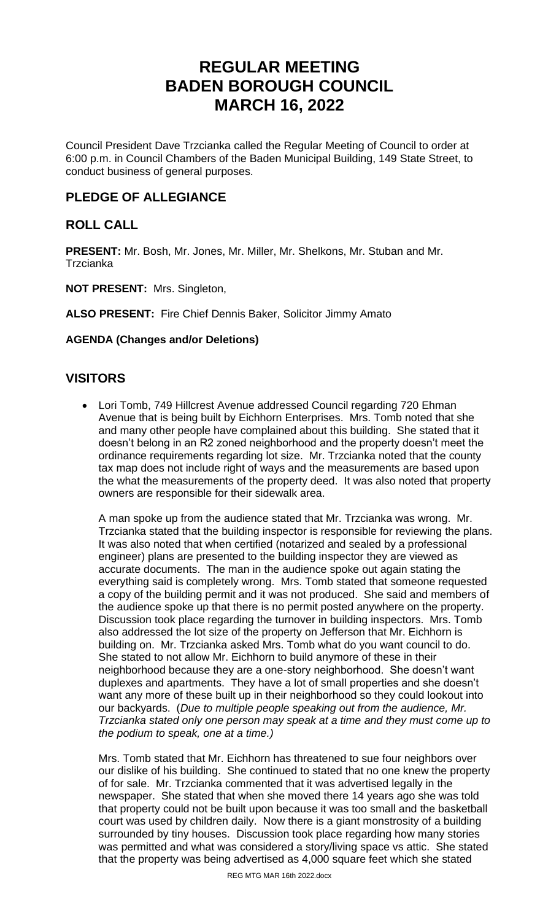# **REGULAR MEETING BADEN BOROUGH COUNCIL MARCH 16, 2022**

Council President Dave Trzcianka called the Regular Meeting of Council to order at 6:00 p.m. in Council Chambers of the Baden Municipal Building, 149 State Street, to conduct business of general purposes.

# **PLEDGE OF ALLEGIANCE**

# **ROLL CALL**

**PRESENT:** Mr. Bosh, Mr. Jones, Mr. Miller, Mr. Shelkons, Mr. Stuban and Mr. **Trzcianka** 

**NOT PRESENT:** Mrs. Singleton,

**ALSO PRESENT:** Fire Chief Dennis Baker, Solicitor Jimmy Amato

#### **AGENDA (Changes and/or Deletions)**

# **VISITORS**

• Lori Tomb, 749 Hillcrest Avenue addressed Council regarding 720 Ehman Avenue that is being built by Eichhorn Enterprises. Mrs. Tomb noted that she and many other people have complained about this building. She stated that it doesn't belong in an R2 zoned neighborhood and the property doesn't meet the ordinance requirements regarding lot size. Mr. Trzcianka noted that the county tax map does not include right of ways and the measurements are based upon the what the measurements of the property deed. It was also noted that property owners are responsible for their sidewalk area.

A man spoke up from the audience stated that Mr. Trzcianka was wrong. Mr. Trzcianka stated that the building inspector is responsible for reviewing the plans. It was also noted that when certified (notarized and sealed by a professional engineer) plans are presented to the building inspector they are viewed as accurate documents. The man in the audience spoke out again stating the everything said is completely wrong. Mrs. Tomb stated that someone requested a copy of the building permit and it was not produced. She said and members of the audience spoke up that there is no permit posted anywhere on the property. Discussion took place regarding the turnover in building inspectors. Mrs. Tomb also addressed the lot size of the property on Jefferson that Mr. Eichhorn is building on. Mr. Trzcianka asked Mrs. Tomb what do you want council to do. She stated to not allow Mr. Eichhorn to build anymore of these in their neighborhood because they are a one-story neighborhood. She doesn't want duplexes and apartments. They have a lot of small properties and she doesn't want any more of these built up in their neighborhood so they could lookout into our backyards. (*Due to multiple people speaking out from the audience, Mr. Trzcianka stated only one person may speak at a time and they must come up to the podium to speak, one at a time.)* 

Mrs. Tomb stated that Mr. Eichhorn has threatened to sue four neighbors over our dislike of his building. She continued to stated that no one knew the property of for sale. Mr. Trzcianka commented that it was advertised legally in the newspaper. She stated that when she moved there 14 years ago she was told that property could not be built upon because it was too small and the basketball court was used by children daily. Now there is a giant monstrosity of a building surrounded by tiny houses. Discussion took place regarding how many stories was permitted and what was considered a story/living space vs attic. She stated that the property was being advertised as 4,000 square feet which she stated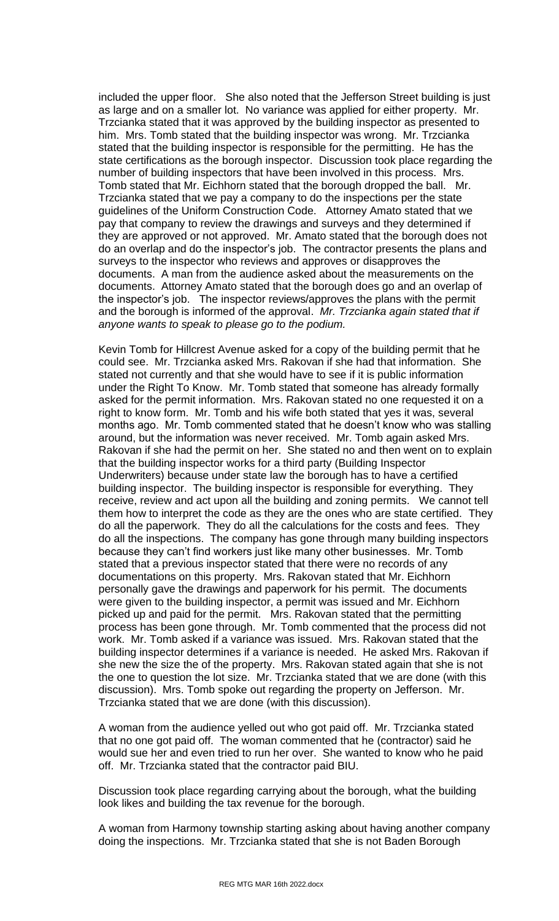included the upper floor. She also noted that the Jefferson Street building is just as large and on a smaller lot. No variance was applied for either property. Mr. Trzcianka stated that it was approved by the building inspector as presented to him. Mrs. Tomb stated that the building inspector was wrong. Mr. Trzcianka stated that the building inspector is responsible for the permitting. He has the state certifications as the borough inspector. Discussion took place regarding the number of building inspectors that have been involved in this process. Mrs. Tomb stated that Mr. Eichhorn stated that the borough dropped the ball. Mr. Trzcianka stated that we pay a company to do the inspections per the state guidelines of the Uniform Construction Code. Attorney Amato stated that we pay that company to review the drawings and surveys and they determined if they are approved or not approved. Mr. Amato stated that the borough does not do an overlap and do the inspector's job. The contractor presents the plans and surveys to the inspector who reviews and approves or disapproves the documents. A man from the audience asked about the measurements on the documents. Attorney Amato stated that the borough does go and an overlap of the inspector's job. The inspector reviews/approves the plans with the permit and the borough is informed of the approval. *Mr. Trzcianka again stated that if anyone wants to speak to please go to the podium.*

Kevin Tomb for Hillcrest Avenue asked for a copy of the building permit that he could see. Mr. Trzcianka asked Mrs. Rakovan if she had that information. She stated not currently and that she would have to see if it is public information under the Right To Know. Mr. Tomb stated that someone has already formally asked for the permit information. Mrs. Rakovan stated no one requested it on a right to know form. Mr. Tomb and his wife both stated that yes it was, several months ago. Mr. Tomb commented stated that he doesn't know who was stalling around, but the information was never received. Mr. Tomb again asked Mrs. Rakovan if she had the permit on her. She stated no and then went on to explain that the building inspector works for a third party (Building Inspector Underwriters) because under state law the borough has to have a certified building inspector. The building inspector is responsible for everything. They receive, review and act upon all the building and zoning permits. We cannot tell them how to interpret the code as they are the ones who are state certified. They do all the paperwork. They do all the calculations for the costs and fees. They do all the inspections. The company has gone through many building inspectors because they can't find workers just like many other businesses. Mr. Tomb stated that a previous inspector stated that there were no records of any documentations on this property. Mrs. Rakovan stated that Mr. Eichhorn personally gave the drawings and paperwork for his permit. The documents were given to the building inspector, a permit was issued and Mr. Eichhorn picked up and paid for the permit. Mrs. Rakovan stated that the permitting process has been gone through. Mr. Tomb commented that the process did not work. Mr. Tomb asked if a variance was issued. Mrs. Rakovan stated that the building inspector determines if a variance is needed. He asked Mrs. Rakovan if she new the size the of the property. Mrs. Rakovan stated again that she is not the one to question the lot size. Mr. Trzcianka stated that we are done (with this discussion). Mrs. Tomb spoke out regarding the property on Jefferson. Mr. Trzcianka stated that we are done (with this discussion).

A woman from the audience yelled out who got paid off. Mr. Trzcianka stated that no one got paid off. The woman commented that he (contractor) said he would sue her and even tried to run her over. She wanted to know who he paid off. Mr. Trzcianka stated that the contractor paid BIU.

Discussion took place regarding carrying about the borough, what the building look likes and building the tax revenue for the borough.

A woman from Harmony township starting asking about having another company doing the inspections. Mr. Trzcianka stated that she is not Baden Borough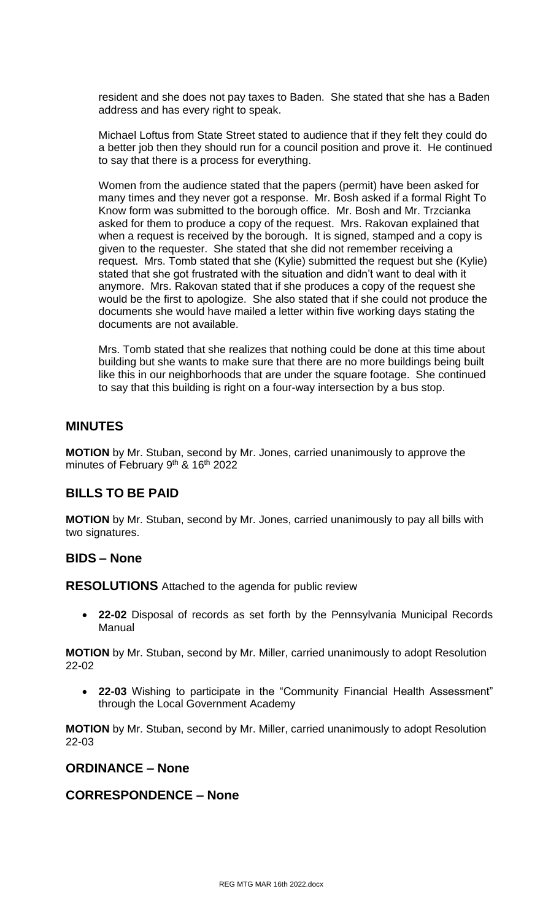resident and she does not pay taxes to Baden. She stated that she has a Baden address and has every right to speak.

Michael Loftus from State Street stated to audience that if they felt they could do a better job then they should run for a council position and prove it. He continued to say that there is a process for everything.

Women from the audience stated that the papers (permit) have been asked for many times and they never got a response. Mr. Bosh asked if a formal Right To Know form was submitted to the borough office. Mr. Bosh and Mr. Trzcianka asked for them to produce a copy of the request. Mrs. Rakovan explained that when a request is received by the borough. It is signed, stamped and a copy is given to the requester. She stated that she did not remember receiving a request. Mrs. Tomb stated that she (Kylie) submitted the request but she (Kylie) stated that she got frustrated with the situation and didn't want to deal with it anymore. Mrs. Rakovan stated that if she produces a copy of the request she would be the first to apologize. She also stated that if she could not produce the documents she would have mailed a letter within five working days stating the documents are not available.

Mrs. Tomb stated that she realizes that nothing could be done at this time about building but she wants to make sure that there are no more buildings being built like this in our neighborhoods that are under the square footage. She continued to say that this building is right on a four-way intersection by a bus stop.

# **MINUTES**

**MOTION** by Mr. Stuban, second by Mr. Jones, carried unanimously to approve the minutes of February 9<sup>th</sup> & 16<sup>th</sup> 2022

# **BILLS TO BE PAID**

**MOTION** by Mr. Stuban, second by Mr. Jones, carried unanimously to pay all bills with two signatures.

### **BIDS – None**

**RESOLUTIONS** Attached to the agenda for public review

• **22-02** Disposal of records as set forth by the Pennsylvania Municipal Records Manual

**MOTION** by Mr. Stuban, second by Mr. Miller, carried unanimously to adopt Resolution 22-02

• **22-03** Wishing to participate in the "Community Financial Health Assessment" through the Local Government Academy

**MOTION** by Mr. Stuban, second by Mr. Miller, carried unanimously to adopt Resolution 22-03

### **ORDINANCE – None**

### **CORRESPONDENCE – None**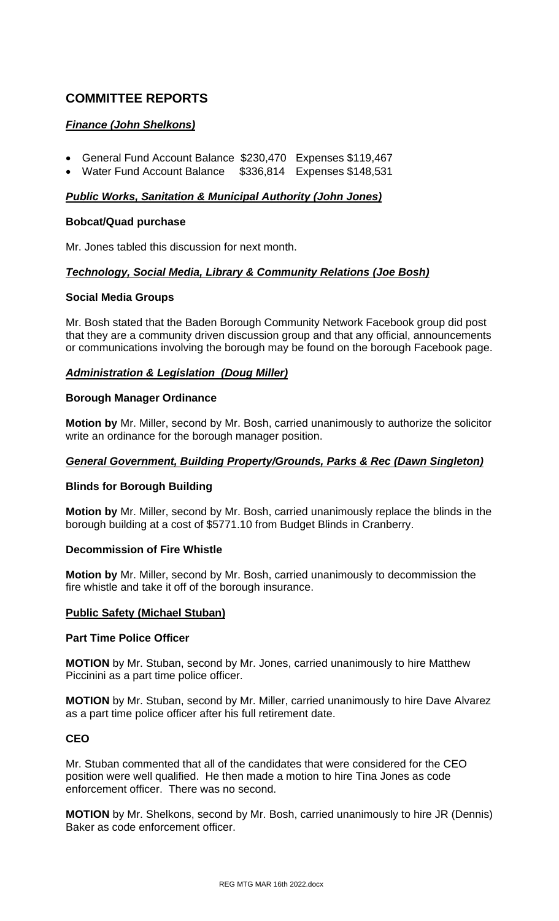# **COMMITTEE REPORTS**

## *Finance (John Shelkons)*

- General Fund Account Balance \$230,470 Expenses \$119,467
- Water Fund Account Balance \$336,814 Expenses \$148,531

### *Public Works, Sanitation & Municipal Authority (John Jones)*

#### **Bobcat/Quad purchase**

Mr. Jones tabled this discussion for next month.

#### *Technology, Social Media, Library & Community Relations (Joe Bosh)*

#### **Social Media Groups**

Mr. Bosh stated that the Baden Borough Community Network Facebook group did post that they are a community driven discussion group and that any official, announcements or communications involving the borough may be found on the borough Facebook page.

#### *Administration & Legislation (Doug Miller)*

#### **Borough Manager Ordinance**

**Motion by** Mr. Miller, second by Mr. Bosh, carried unanimously to authorize the solicitor write an ordinance for the borough manager position.

#### *General Government, Building Property/Grounds, Parks & Rec (Dawn Singleton)*

#### **Blinds for Borough Building**

**Motion by** Mr. Miller, second by Mr. Bosh, carried unanimously replace the blinds in the borough building at a cost of \$5771.10 from Budget Blinds in Cranberry.

#### **Decommission of Fire Whistle**

**Motion by** Mr. Miller, second by Mr. Bosh, carried unanimously to decommission the fire whistle and take it off of the borough insurance.

#### **Public Safety (Michael Stuban)**

#### **Part Time Police Officer**

**MOTION** by Mr. Stuban, second by Mr. Jones, carried unanimously to hire Matthew Piccinini as a part time police officer.

**MOTION** by Mr. Stuban, second by Mr. Miller, carried unanimously to hire Dave Alvarez as a part time police officer after his full retirement date.

#### **CEO**

Mr. Stuban commented that all of the candidates that were considered for the CEO position were well qualified. He then made a motion to hire Tina Jones as code enforcement officer. There was no second.

**MOTION** by Mr. Shelkons, second by Mr. Bosh, carried unanimously to hire JR (Dennis) Baker as code enforcement officer.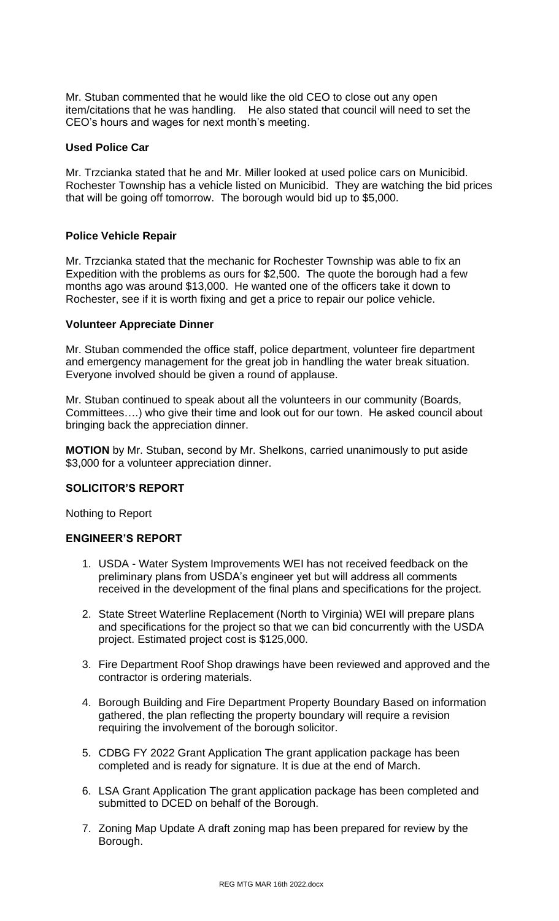Mr. Stuban commented that he would like the old CEO to close out any open item/citations that he was handling. He also stated that council will need to set the CEO's hours and wages for next month's meeting.

#### **Used Police Car**

Mr. Trzcianka stated that he and Mr. Miller looked at used police cars on Municibid. Rochester Township has a vehicle listed on Municibid. They are watching the bid prices that will be going off tomorrow. The borough would bid up to \$5,000.

#### **Police Vehicle Repair**

Mr. Trzcianka stated that the mechanic for Rochester Township was able to fix an Expedition with the problems as ours for \$2,500. The quote the borough had a few months ago was around \$13,000. He wanted one of the officers take it down to Rochester, see if it is worth fixing and get a price to repair our police vehicle.

#### **Volunteer Appreciate Dinner**

Mr. Stuban commended the office staff, police department, volunteer fire department and emergency management for the great job in handling the water break situation. Everyone involved should be given a round of applause.

Mr. Stuban continued to speak about all the volunteers in our community (Boards, Committees….) who give their time and look out for our town. He asked council about bringing back the appreciation dinner.

**MOTION** by Mr. Stuban, second by Mr. Shelkons, carried unanimously to put aside \$3,000 for a volunteer appreciation dinner.

### **SOLICITOR'S REPORT**

Nothing to Report

#### **ENGINEER'S REPORT**

- 1. USDA Water System Improvements WEI has not received feedback on the preliminary plans from USDA's engineer yet but will address all comments received in the development of the final plans and specifications for the project.
- 2. State Street Waterline Replacement (North to Virginia) WEI will prepare plans and specifications for the project so that we can bid concurrently with the USDA project. Estimated project cost is \$125,000.
- 3. Fire Department Roof Shop drawings have been reviewed and approved and the contractor is ordering materials.
- 4. Borough Building and Fire Department Property Boundary Based on information gathered, the plan reflecting the property boundary will require a revision requiring the involvement of the borough solicitor.
- 5. CDBG FY 2022 Grant Application The grant application package has been completed and is ready for signature. It is due at the end of March.
- 6. LSA Grant Application The grant application package has been completed and submitted to DCED on behalf of the Borough.
- 7. Zoning Map Update A draft zoning map has been prepared for review by the Borough.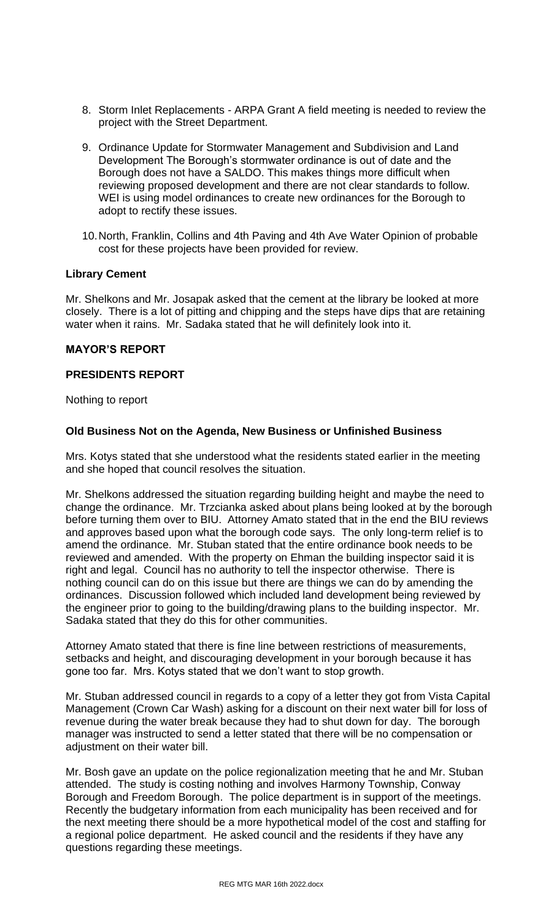- 8. Storm Inlet Replacements ARPA Grant A field meeting is needed to review the project with the Street Department.
- 9. Ordinance Update for Stormwater Management and Subdivision and Land Development The Borough's stormwater ordinance is out of date and the Borough does not have a SALDO. This makes things more difficult when reviewing proposed development and there are not clear standards to follow. WEI is using model ordinances to create new ordinances for the Borough to adopt to rectify these issues.
- 10.North, Franklin, Collins and 4th Paving and 4th Ave Water Opinion of probable cost for these projects have been provided for review.

#### **Library Cement**

Mr. Shelkons and Mr. Josapak asked that the cement at the library be looked at more closely. There is a lot of pitting and chipping and the steps have dips that are retaining water when it rains. Mr. Sadaka stated that he will definitely look into it.

#### **MAYOR'S REPORT**

#### **PRESIDENTS REPORT**

Nothing to report

#### **Old Business Not on the Agenda, New Business or Unfinished Business**

Mrs. Kotys stated that she understood what the residents stated earlier in the meeting and she hoped that council resolves the situation.

Mr. Shelkons addressed the situation regarding building height and maybe the need to change the ordinance. Mr. Trzcianka asked about plans being looked at by the borough before turning them over to BIU. Attorney Amato stated that in the end the BIU reviews and approves based upon what the borough code says. The only long-term relief is to amend the ordinance. Mr. Stuban stated that the entire ordinance book needs to be reviewed and amended. With the property on Ehman the building inspector said it is right and legal. Council has no authority to tell the inspector otherwise. There is nothing council can do on this issue but there are things we can do by amending the ordinances. Discussion followed which included land development being reviewed by the engineer prior to going to the building/drawing plans to the building inspector. Mr. Sadaka stated that they do this for other communities.

Attorney Amato stated that there is fine line between restrictions of measurements, setbacks and height, and discouraging development in your borough because it has gone too far. Mrs. Kotys stated that we don't want to stop growth.

Mr. Stuban addressed council in regards to a copy of a letter they got from Vista Capital Management (Crown Car Wash) asking for a discount on their next water bill for loss of revenue during the water break because they had to shut down for day. The borough manager was instructed to send a letter stated that there will be no compensation or adjustment on their water bill.

Mr. Bosh gave an update on the police regionalization meeting that he and Mr. Stuban attended. The study is costing nothing and involves Harmony Township, Conway Borough and Freedom Borough. The police department is in support of the meetings. Recently the budgetary information from each municipality has been received and for the next meeting there should be a more hypothetical model of the cost and staffing for a regional police department. He asked council and the residents if they have any questions regarding these meetings.